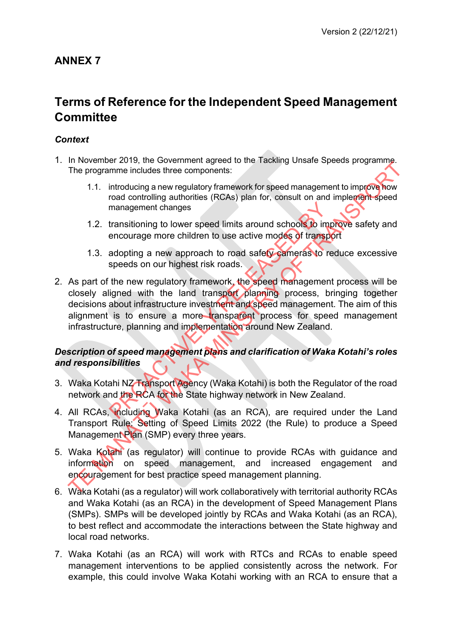# **ANNEX 7**

# **Terms of Reference for the Independent Speed Management Committee**

### *Context*

- 1. In November 2019, the Government agreed to the Tackling Unsafe Speeds programme. The programme includes three components:
	- 1.1. introducing a new regulatory framework for speed management to improve how road controlling authorities (RCAs) plan for, consult on and implement speed management changes
	- 1.2. transitioning to lower speed limits around schools to improve safety and encourage more children to use active modes of transport
	- 1.3. adopting a new approach to road safety cameras to reduce excessive speeds on our highest risk roads.
- 2. As part of the new regulatory framework, the speed management process will be closely aligned with the land transport planning process, bringing together decisions about infrastructure investment and speed management. The aim of this alignment is to ensure a more transparent process for speed management infrastructure, planning and implementation around New Zealand. management changes<br>transitioning to lower speed limits around schools to imprendent to use active modes of transplane<br>adopting a new approach to road safety cameras to respeeds on our highest risk roads.<br>the new regulatory The programme includes three components:<br>
The programme includes three components:<br>
1.1. introducing a new regulatory framework for speed management to improve how<br>
management changes<br>
1.2. transitioning to lower speed lim

### *Description of speed management plans and clarification of Waka Kotahi's roles and responsibilities*

- 3. Waka Kotahi NZ Transport Agency (Waka Kotahi) is both the Regulator of the road network and the RCA for the State highway network in New Zealand.
- 4. All RCAs, including Waka Kotahi (as an RCA), are required under the Land Transport Rule: Setting of Speed Limits 2022 (the Rule) to produce a Speed Management Plan (SMP) every three years.
- 5. Waka Kotahi (as regulator) will continue to provide RCAs with guidance and information on speed management, and increased engagement and encouragement for best practice speed management planning.
- 6. Waka Kotahi (as a regulator) will work collaboratively with territorial authority RCAs and Waka Kotahi (as an RCA) in the development of Speed Management Plans (SMPs). SMPs will be developed jointly by RCAs and Waka Kotahi (as an RCA), to best reflect and accommodate the interactions between the State highway and local road networks.
- 7. Waka Kotahi (as an RCA) will work with RTCs and RCAs to enable speed management interventions to be applied consistently across the network. For example, this could involve Waka Kotahi working with an RCA to ensure that a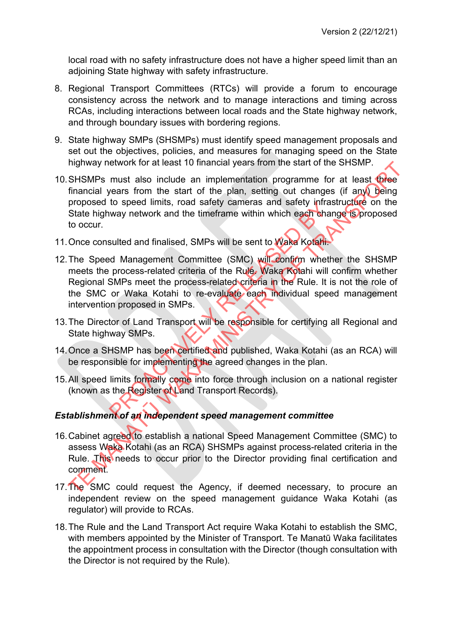local road with no safety infrastructure does not have a higher speed limit than an adjoining State highway with safety infrastructure.

- 8. Regional Transport Committees (RTCs) will provide a forum to encourage consistency across the network and to manage interactions and timing across RCAs, including interactions between local roads and the State highway network, and through boundary issues with bordering regions.
- 9. State highway SMPs (SHSMPs) must identify speed management proposals and set out the objectives, policies, and measures for managing speed on the State highway network for at least 10 financial years from the start of the SHSMP.
- 10.SHSMPs must also include an implementation programme for at least three financial years from the start of the plan, setting out changes (if any) being proposed to speed limits, road safety cameras and safety infrastructure on the State highway network and the timeframe within which each change is proposed to occur.
- 11.Once consulted and finalised, SMPs will be sent to Waka Kotahi.
- 12.The Speed Management Committee (SMC) will confirm whether the SHSMP meets the process-related criteria of the Rule. Waka Kotahi will confirm whether Regional SMPs meet the process-related criteria in the Rule. It is not the role of the SMC or Waka Kotahi to re-evaluate each individual speed management intervention proposed in SMPs. to speed ilmits, road salety cameras and salety intra<br>
way network and the timeframe within which each cha<br>
sulted and finalised, SMPs will be sent to Wake Kotahi.<br>
d Management Committee (SMC) will confirm whether<br>
proces nighway network for at least 10 miancial years from the start of the SHSMP.<br>SHSMPs must also include an implementation programs for a least the financial years from the start of the plan, setting out changes (if anyt) bein
- 13.The Director of Land Transport will be responsible for certifying all Regional and State highway SMPs.
- 14.Once a SHSMP has been certified and published, Waka Kotahi (as an RCA) will be responsible for implementing the agreed changes in the plan.
- 15.All speed limits formally come into force through inclusion on a national register (known as the Register of Land Transport Records).

### *Establishment of an independent speed management committee*

- 16.Cabinet agreed to establish a national Speed Management Committee (SMC) to assess Waka Kotahi (as an RCA) SHSMPs against process-related criteria in the Rule. This needs to occur prior to the Director providing final certification and comment.
- 17.The SMC could request the Agency, if deemed necessary, to procure an independent review on the speed management guidance Waka Kotahi (as regulator) will provide to RCAs.
- 18. The Rule and the Land Transport Act require Waka Kotahi to establish the SMC, with members appointed by the Minister of Transport. Te Manatū Waka facilitates the appointment process in consultation with the Director (though consultation with the Director is not required by the Rule).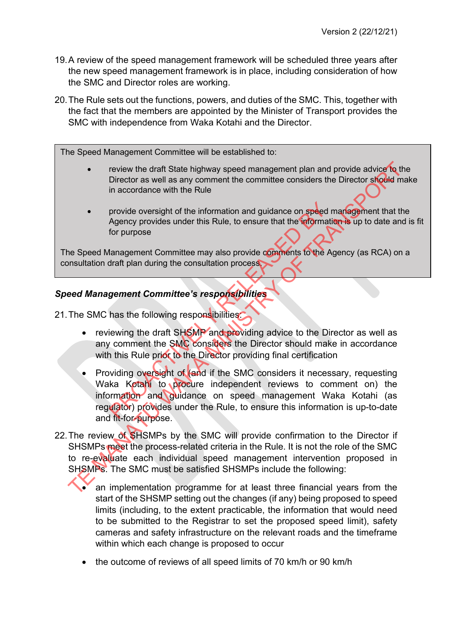- 19. A review of the speed management framework will be scheduled three years after the new speed management framework is in place, including consideration of how the SMC and Director roles are working.
- 20.The Rule sets out the functions, powers, and duties of the SMC. This, together with the fact that the members are appointed by the Minister of Transport provides the SMC with independence from Waka Kotahi and the Director.

The Speed Management Committee will be established to:

- review the draft State highway speed management plan and provide advice to the Director as well as any comment the committee considers the Director should make in accordance with the Rule
- provide oversight of the information and guidance on speed management that the Agency provides under this Rule, to ensure that the information is up to date and is fit for purpose

The Speed Management Committee may also provide comments to the Agency (as RCA) on a consultation draft plan during the consultation process.

### *Speed Management Committee's responsibilities*

21. The SMC has the following responsibilities.

- reviewing the draft SHSMP and providing advice to the Director as well as any comment the SMC considers the Director should make in accordance with this Rule prior to the Director providing final certification
- Providing oversight of (and if the SMC considers it necessary, requesting Waka Kotahi to procure independent reviews to comment on) the information and guidance on speed management Waka Kotahi (as regulator) provides under the Rule, to ensure this information is up-to-date and fit-for-purpose. provide oversight of the information and guidance on speed a<br>Agency provides under this Rule, to ensure that the information<br>for purpose<br>danagement Committee may also provide comments to the A<br>draft plan during the consult The movies with earth State highway speed management plan and provide a divice to the Director as well as any comment the committee considers the Director society in accordance with the RME<br>
The cororision of the informati
- 22. The review of SHSMPs by the SMC will provide confirmation to the Director if SHSMPs meet the process-related criteria in the Rule. It is not the role of the SMC to re-evaluate each individual speed management intervention proposed in SHSMPs. The SMC must be satisfied SHSMPs include the following:
	- an implementation programme for at least three financial years from the start of the SHSMP setting out the changes (if any) being proposed to speed limits (including, to the extent practicable, the information that would need to be submitted to the Registrar to set the proposed speed limit), safety cameras and safety infrastructure on the relevant roads and the timeframe within which each change is proposed to occur
	- the outcome of reviews of all speed limits of 70 km/h or 90 km/h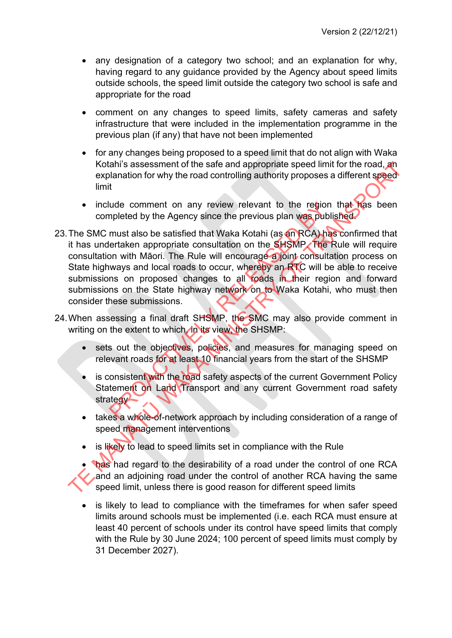- any designation of a category two school; and an explanation for why, having regard to any guidance provided by the Agency about speed limits outside schools, the speed limit outside the category two school is safe and appropriate for the road
- comment on any changes to speed limits, safety cameras and safety infrastructure that were included in the implementation programme in the previous plan (if any) that have not been implemented
- for any changes being proposed to a speed limit that do not align with Waka Kotahi's assessment of the safe and appropriate speed limit for the road, an explanation for why the road controlling authority proposes a different speed limit
- include comment on any review relevant to the region that has been completed by the Agency since the previous plan was published.
- 23. The SMC must also be satisfied that Waka Kotahi (as an RCA) has confirmed that it has undertaken appropriate consultation on the SHSMP. The Rule will require consultation with Māori. The Rule will encourage a joint consultation process on State highways and local roads to occur, whereby an RTC will be able to receive submissions on proposed changes to all roads in their region and forward submissions on the State highway network on to Waka Kotahi, who must then consider these submissions. relation of the region and the region of the region of the region poleted by the Agency since the previous plan was publemust also be satisfied that Waka Kotahi (as en RCA) has entaken appropriate consultation on the SHSMP Folialities assessment of the safe and appropriate speed limit for the road, and<br>explanation for why the road controlling authority proposes a different speed<br>innit<br>include comment on any review relevant to the region tha
- 24. When assessing a final draft SHSMP, the SMC may also provide comment in writing on the extent to which, in its view, the SHSMP:
	- sets out the objectives, policies, and measures for managing speed on relevant roads for at least 10 financial years from the start of the SHSMP
	- is consistent with the road safety aspects of the current Government Policy Statement on Land Transport and any current Government road safety strategy
	- takes a whole-of-network approach by including consideration of a range of speed management interventions
	- is likely to lead to speed limits set in compliance with the Rule

**has had regard to the desirability of a road under the control of one RCA** and an adjoining road under the control of another RCA having the same speed limit, unless there is good reason for different speed limits

• is likely to lead to compliance with the timeframes for when safer speed limits around schools must be implemented (i.e. each RCA must ensure at least 40 percent of schools under its control have speed limits that comply with the Rule by 30 June 2024; 100 percent of speed limits must comply by 31 December 2027).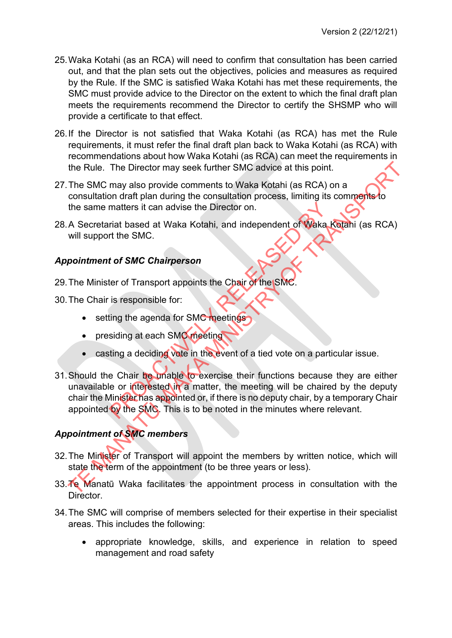- 25.Waka Kotahi (as an RCA) will need to confirm that consultation has been carried out, and that the plan sets out the objectives, policies and measures as required by the Rule. If the SMC is satisfied Waka Kotahi has met these requirements, the SMC must provide advice to the Director on the extent to which the final draft plan meets the requirements recommend the Director to certify the SHSMP who will provide a certificate to that effect.
- 26.If the Director is not satisfied that Waka Kotahi (as RCA) has met the Rule requirements, it must refer the final draft plan back to Waka Kotahi (as RCA) with recommendations about how Waka Kotahi (as RCA) can meet the requirements in the Rule. The Director may seek further SMC advice at this point.
- 27.The SMC may also provide comments to Waka Kotahi (as RCA) on a consultation draft plan during the consultation process, limiting its comments to the same matters it can advise the Director on.
- 28. A Secretariat based at Waka Kotahi, and independent of Waka Kotahi (as RCA) will support the SMC.

### *Appointment of SMC Chairperson*

29. The Minister of Transport appoints the Chair of the SM

30.The Chair is responsible for:

- setting the agenda for SMC meetings
- presiding at each SMC meeting
- casting a deciding vote in the event of a tied vote on a particular issue.
- 31. Should the Chair be unable to exercise their functions because they are either unavailable or interested in a matter, the meeting will be chaired by the deputy chair the Minister has appointed or, if there is no deputy chair, by a temporary Chair appointed by the SMC. This is to be noted in the minutes where relevant. matters it can advise the Director on.<br>
Trait based at Waka Kotahi, and independent of Waka I<br>
of the SMC.<br> **to f SMC Chairperson**<br>
ter of Transport appoints the Chair of the SMC.<br>
is responsible for:<br>
siding at each SMC m the Rule. The Director may seek further SMC advice at this point.<br>The SMC may also provide comments to Waka Kotahi (as RCA) on a<br>consultation draft plan during the consultation process, limiting its comments of<br>the same ma

### *Appointment of SMC members*

- 32.The Minister of Transport will appoint the members by written notice, which will state the term of the appointment (to be three years or less).
- 33.Te Manatū Waka facilitates the appointment process in consultation with the Director.
- 34.The SMC will comprise of members selected for their expertise in their specialist areas. This includes the following:
	- appropriate knowledge, skills, and experience in relation to speed management and road safety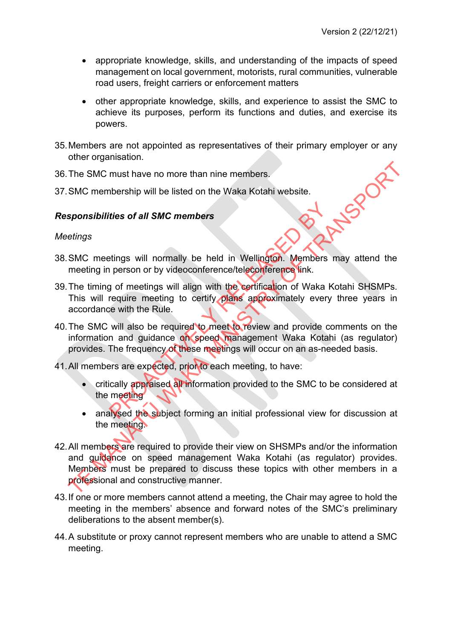- appropriate knowledge, skills, and understanding of the impacts of speed management on local government, motorists, rural communities, vulnerable road users, freight carriers or enforcement matters
- other appropriate knowledge, skills, and experience to assist the SMC to achieve its purposes, perform its functions and duties, and exercise its powers.
- 35.Members are not appointed as representatives of their primary employer or any other organisation.
- 36.The SMC must have no more than nine members.
- 37. SMC membership will be listed on the Waka Kotahi website.<br>Responsibilities of all SMC members<br>Meetings

#### *Responsibilities of all SMC members*

#### *Meetings*

- 38.SMC meetings will normally be held in Wellington. Members may attend the meeting in person or by videoconference/teleconference link.
- 39. The timing of meetings will align with the certification of Waka Kotahi SHSMPs. This will require meeting to certify plans approximately every three years in accordance with the Rule.
- 40.The SMC will also be required to meet to review and provide comments on the information and guidance on speed management Waka Kotahi (as regulator) provides. The frequency of these meetings will occur on an as-needed basis. The strain of all SMC members<br>
Etings will normally be held in Wellington. Members<br>
person or by videoconference/teleconference link.<br>
The meeting to certify plans approximately every<br>
the Rule.<br>
Will also be required to m
- 41.All members are expected, prior to each meeting, to have:
	- critically appraised all information provided to the SMC to be considered at the meeting
	- analysed the subject forming an initial professional view for discussion at the meeting.
- 42.All members are required to provide their view on SHSMPs and/or the information and guidance on speed management Waka Kotahi (as regulator) provides. Members must be prepared to discuss these topics with other members in a professional and constructive manner. The SMC must have no more than nine members.<br>
SMC membership will be listed on the Waka Kotahi website.<br> **sponsibilities of all SMC members**<br> **etings**<br>
SMC meetings will normally be held in Wellington. Members may attend t
- 43.If one or more members cannot attend a meeting, the Chair may agree to hold the meeting in the members' absence and forward notes of the SMC's preliminary deliberations to the absent member(s).
- 44.A substitute or proxy cannot represent members who are unable to attend a SMC meeting.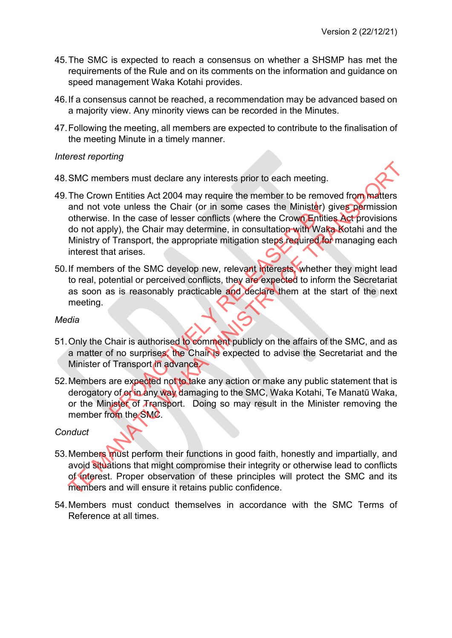- 45.The SMC is expected to reach a consensus on whether a SHSMP has met the requirements of the Rule and on its comments on the information and guidance on speed management Waka Kotahi provides.
- 46.If a consensus cannot be reached, a recommendation may be advanced based on a majority view. Any minority views can be recorded in the Minutes.
- 47.Following the meeting, all members are expected to contribute to the finalisation of the meeting Minute in a timely manner.

#### *Interest reporting*

- 48.SMC members must declare any interests prior to each meeting.
- 49. The Crown Entities Act 2004 may require the member to be removed from matters and not vote unless the Chair (or in some cases the Minister) gives permission otherwise. In the case of lesser conflicts (where the Crown Entities Act provisions do not apply), the Chair may determine, in consultation with Waka Kotahi and the Ministry of Transport, the appropriate mitigation steps required for managing each interest that arises. of the SMC.<br>
The same of lesser conflicts (where the Crown Entities) of the case of lesser conflicts (where the Crown Entities)<br>
Subject to the Chair may determine, in consultation with Wake<br>
Transport, the appropriate mit SMC members must declare any interests prior to each meeting.<br>The Crown Entities Act 2004 may require the member to be removed from matters<br>and not vote unless the Chair (or in some cases the Ministér) gives pormission<br>oth
- 50.If members of the SMC develop new, relevant interests, whether they might lead to real, potential or perceived conflicts, they are expected to inform the Secretariat as soon as is reasonably practicable and declare them at the start of the next meeting.

#### *Media*

- 51. Only the Chair is authorised to comment publicly on the affairs of the SMC, and as a matter of no surprises, the Chair is expected to advise the Secretariat and the Minister of Transport in advance.
- 52. Members are expected not to take any action or make any public statement that is derogatory of or in any way damaging to the SMC, Waka Kotahi, Te Manatū Waka, or the Minister of Transport. Doing so may result in the Minister removing the member from the SMC.

#### *Conduct*

- 53.Members must perform their functions in good faith, honestly and impartially, and avoid situations that might compromise their integrity or otherwise lead to conflicts of interest. Proper observation of these principles will protect the SMC and its members and will ensure it retains public confidence.
- 54.Members must conduct themselves in accordance with the SMC Terms of Reference at all times.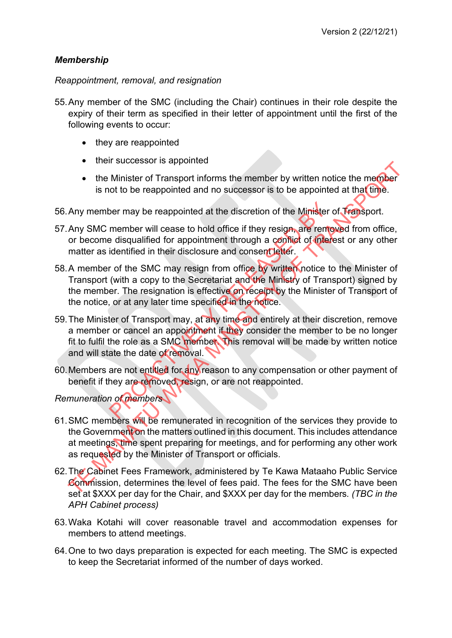### *Membership*

*Reappointment, removal, and resignation*

- 55. Any member of the SMC (including the Chair) continues in their role despite the expiry of their term as specified in their letter of appointment until the first of the following events to occur:
	- they are reappointed
	- their successor is appointed
	- the Minister of Transport informs the member by written notice the member is not to be reappointed and no successor is to be appointed at that time.
- 56.Any member may be reappointed at the discretion of the Minister of Transport.
- 57. Any SMC member will cease to hold office if they resign, are removed from office, or become disqualified for appointment through a conflict of interest or any other matter as identified in their disclosure and consent letter.
- 58.A member of the SMC may resign from office by written notice to the Minister of Transport (with a copy to the Secretariat and the Ministry of Transport) signed by the member. The resignation is effective on receipt by the Minister of Transport of the notice, or at any later time specified in the notice. the member will cease to hold office if they resign, are remember will cease to hold office if they resign, are remember adisqualified for appointment through a conflict of interded in their disclosure and consent letter.<br> The Minister of Transport informs the member by written notice the member<br>
is not to be reappointed and no successor is to be appointed at that thine<br>
Any member may be reappointed at the discretion of the Minister of Trem
- 59.The Minister of Transport may, at any time and entirely at their discretion, remove a member or cancel an appointment if they consider the member to be no longer fit to fulfil the role as a SMC member. This removal will be made by written notice and will state the date of removal.
- 60.Members are not entitled for any reason to any compensation or other payment of benefit if they are removed, resign, or are not reappointed.

*Remuneration of members*

- 61.SMC members will be remunerated in recognition of the services they provide to the Government on the matters outlined in this document. This includes attendance at meetings, time spent preparing for meetings, and for performing any other work as requested by the Minister of Transport or officials.
- 62.The Cabinet Fees Framework, administered by Te Kawa Mataaho Public Service Commission, determines the level of fees paid. The fees for the SMC have been set at \$XXX per day for the Chair, and \$XXX per day for the members*. (TBC in the APH Cabinet process)*
- 63.Waka Kotahi will cover reasonable travel and accommodation expenses for members to attend meetings.
- 64.One to two days preparation is expected for each meeting. The SMC is expected to keep the Secretariat informed of the number of days worked.